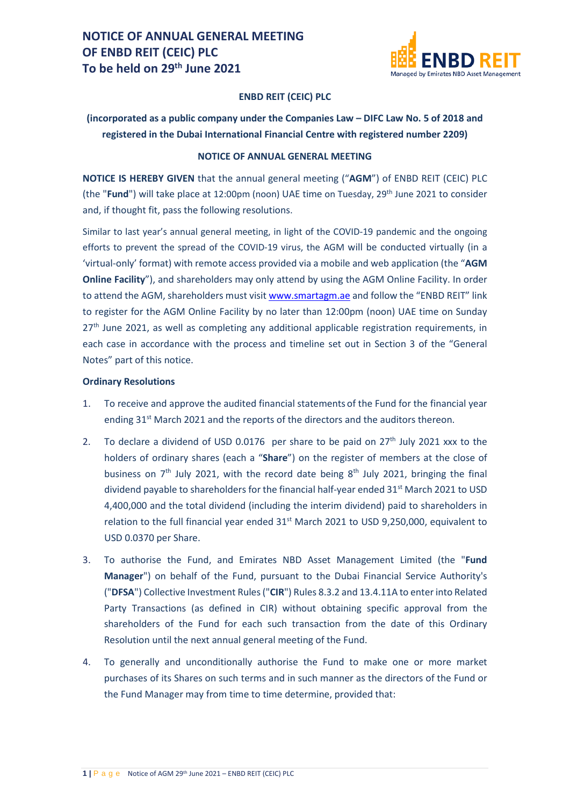

#### **ENBD REIT (CEIC) PLC**

### **(incorporated as a public company under the Companies Law – DIFC Law No. 5 of 2018 and registered in the Dubai International Financial Centre with registered number 2209)**

#### **NOTICE OF ANNUAL GENERAL MEETING**

**NOTICE IS HEREBY GIVEN** that the annual general meeting ("**AGM**") of ENBD REIT (CEIC) PLC (the "**Fund**") will take place at 12:00pm (noon) UAE time on Tuesday, 29th June 2021 to consider and, if thought fit, pass the following resolutions.

Similar to last year's annual general meeting, in light of the COVID-19 pandemic and the ongoing efforts to prevent the spread of the COVID-19 virus, the AGM will be conducted virtually (in a 'virtual-only' format) with remote access provided via a mobile and web application (the "**AGM Online Facility**"), and shareholders may only attend by using the AGM Online Facility. In order to attend the AGM, shareholders must visi[t www.smartagm.ae](http://www.smartagm.ae/) and follow the "ENBD REIT" link to register for the AGM Online Facility by no later than 12:00pm (noon) UAE time on Sunday  $27<sup>th</sup>$  June 2021, as well as completing any additional applicable registration requirements, in each case in accordance with the process and timeline set out in Section 3 of the "General Notes" part of this notice.

#### **Ordinary Resolutions**

- 1. To receive and approve the audited financial statements of the Fund for the financial year ending 31<sup>st</sup> March 2021 and the reports of the directors and the auditors thereon.
- 2. To declare a dividend of USD 0.0176 per share to be paid on  $27<sup>th</sup>$  July 2021 xxx to the holders of ordinary shares (each a "**Share**") on the register of members at the close of business on  $7<sup>th</sup>$  July 2021, with the record date being  $8<sup>th</sup>$  July 2021, bringing the final dividend payable to shareholders for the financial half-year ended  $31<sup>st</sup>$  March 2021 to USD 4,400,000 and the total dividend (including the interim dividend) paid to shareholders in relation to the full financial year ended 31<sup>st</sup> March 2021 to USD 9,250,000, equivalent to USD 0.0370 per Share.
- 3. To authorise the Fund, and Emirates NBD Asset Management Limited (the "**Fund Manager**") on behalf of the Fund, pursuant to the Dubai Financial Service Authority's ("**DFSA**") Collective Investment Rules ("**CIR**") Rules 8.3.2 and 13.4.11A to enter into Related Party Transactions (as defined in CIR) without obtaining specific approval from the shareholders of the Fund for each such transaction from the date of this Ordinary Resolution until the next annual general meeting of the Fund.
- 4. To generally and unconditionally authorise the Fund to make one or more market purchases of its Shares on such terms and in such manner as the directors of the Fund or the Fund Manager may from time to time determine, provided that: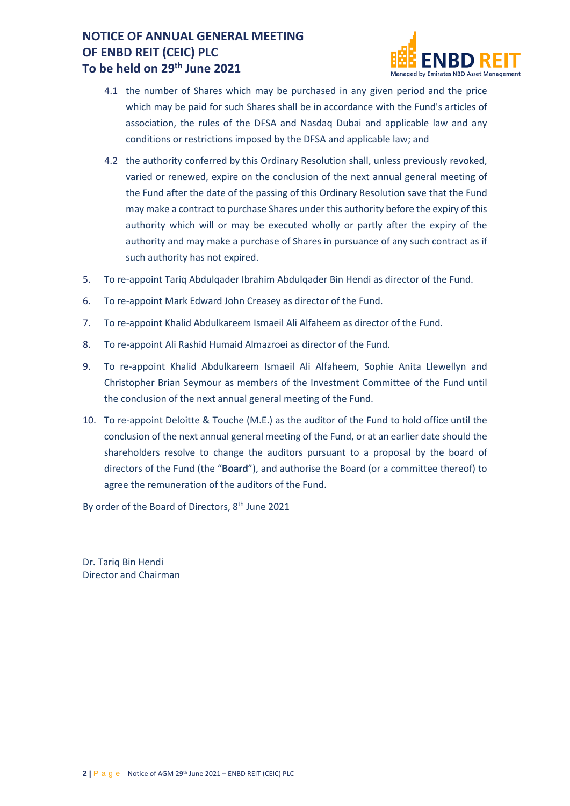

- 4.1 the number of Shares which may be purchased in any given period and the price which may be paid for such Shares shall be in accordance with the Fund's articles of association, the rules of the DFSA and Nasdaq Dubai and applicable law and any conditions or restrictions imposed by the DFSA and applicable law; and
- 4.2 the authority conferred by this Ordinary Resolution shall, unless previously revoked, varied or renewed, expire on the conclusion of the next annual general meeting of the Fund after the date of the passing of this Ordinary Resolution save that the Fund may make a contract to purchase Shares under this authority before the expiry of this authority which will or may be executed wholly or partly after the expiry of the authority and may make a purchase of Shares in pursuance of any such contract as if such authority has not expired.
- 5. To re-appoint Tariq Abdulqader Ibrahim Abdulqader Bin Hendi as director of the Fund.
- 6. To re-appoint Mark Edward John Creasey as director of the Fund.
- 7. To re-appoint Khalid Abdulkareem Ismaeil Ali Alfaheem as director of the Fund.
- 8. To re-appoint Ali Rashid Humaid Almazroei as director of the Fund.
- 9. To re-appoint Khalid Abdulkareem Ismaeil Ali Alfaheem, Sophie Anita Llewellyn and Christopher Brian Seymour as members of the Investment Committee of the Fund until the conclusion of the next annual general meeting of the Fund.
- 10. To re-appoint Deloitte & Touche (M.E.) as the auditor of the Fund to hold office until the conclusion of the next annual general meeting of the Fund, or at an earlier date should the shareholders resolve to change the auditors pursuant to a proposal by the board of directors of the Fund (the "**Board**"), and authorise the Board (or a committee thereof) to agree the remuneration of the auditors of the Fund.

By order of the Board of Directors, 8<sup>th</sup> June 2021

Dr. Tariq Bin Hendi Director and Chairman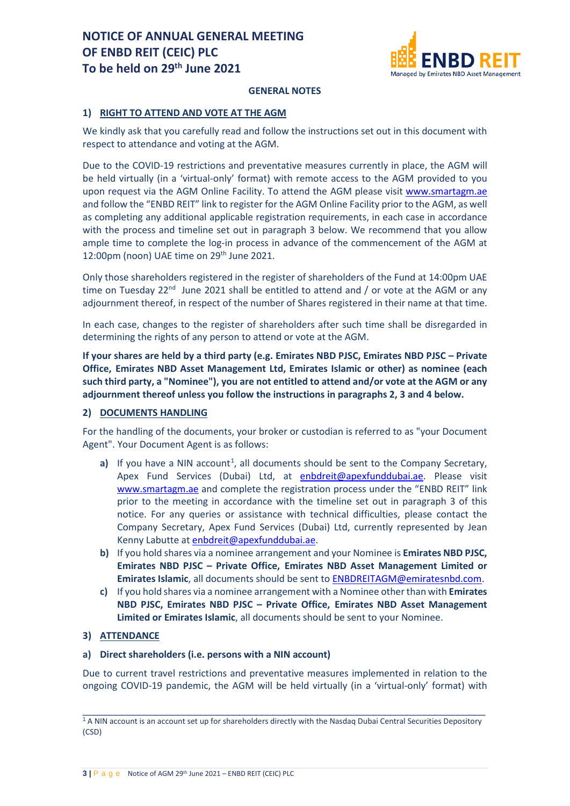

#### **GENERAL NOTES**

### **1) RIGHT TO ATTEND AND VOTE AT THE AGM**

We kindly ask that you carefully read and follow the instructions set out in this document with respect to attendance and voting at the AGM.

Due to the COVID-19 restrictions and preventative measures currently in place, the AGM will be held virtually (in a 'virtual-only' format) with remote access to the AGM provided to you upon request via the AGM Online Facility. To attend the AGM please visit [www.smartagm.ae](http://www.smartagm.ae/) and follow the "ENBD REIT" link to register for the AGM Online Facility prior to the AGM, as well as completing any additional applicable registration requirements, in each case in accordance with the process and timeline set out in paragraph 3 below. We recommend that you allow ample time to complete the log-in process in advance of the commencement of the AGM at 12:00pm (noon) UAE time on 29<sup>th</sup> June 2021.

Only those shareholders registered in the register of shareholders of the Fund at 14:00pm UAE time on Tuesday  $22^{nd}$  June 2021 shall be entitled to attend and / or vote at the AGM or any adjournment thereof, in respect of the number of Shares registered in their name at that time.

In each case, changes to the register of shareholders after such time shall be disregarded in determining the rights of any person to attend or vote at the AGM.

**If your shares are held by a third party (e.g. Emirates NBD PJSC, Emirates NBD PJSC – Private Office, Emirates NBD Asset Management Ltd, Emirates Islamic or other) as nominee (each such third party, a "Nominee"), you are not entitled to attend and/or vote at the AGM or any adjournment thereof unless you follow the instructions in paragraphs 2, 3 and 4 below.**

### **2) DOCUMENTS HANDLING**

For the handling of the documents, your broker or custodian is referred to as "your Document Agent". Your Document Agent is as follows:

- a) If you have a NIN account<sup>[1](#page-2-0)</sup>, all documents should be sent to the Company Secretary, Apex Fund Services (Dubai) Ltd, at [enbdreit@apexfunddubai.ae.](mailto:enbdreit@apexfunddubai.ae) Please visit [www.smartagm.ae](http://www.smartagm.ae/) and complete the registration process under the "ENBD REIT" link prior to the meeting in accordance with the timeline set out in paragraph 3 of this notice. For any queries or assistance with technical difficulties, please contact the Company Secretary, Apex Fund Services (Dubai) Ltd, currently represented by Jean Kenny Labutte at [enbdreit@apexfunddubai.ae.](mailto:enbdreit@apexfunddubai.ae)
- **b)** If you hold shares via a nominee arrangement and your Nominee is **Emirates NBD PJSC, Emirates NBD PJSC – Private Office, Emirates NBD Asset Management Limited or Emirates Islamic**, all documents should be sent to [ENBDREITAGM@emiratesnbd.com.](mailto:ENBDREITAGM@emiratesnbd.com)
- **c)** If you hold shares via a nominee arrangement with a Nominee other than with **Emirates NBD PJSC, Emirates NBD PJSC – Private Office, Emirates NBD Asset Management Limited or Emirates Islamic**, all documents should be sent to your Nominee.

### **3) ATTENDANCE**

### **a) Direct shareholders (i.e. persons with a NIN account)**

Due to current travel restrictions and preventative measures implemented in relation to the ongoing COVID-19 pandemic, the AGM will be held virtually (in a 'virtual-only' format) with

<span id="page-2-0"></span>\_\_\_\_\_\_\_\_\_\_\_\_\_\_\_\_\_\_\_\_\_\_\_\_\_\_\_\_\_\_\_\_\_\_\_\_\_\_\_\_\_\_\_\_\_\_\_\_\_\_\_\_\_\_\_\_\_\_\_\_\_\_\_\_\_\_\_\_\_\_\_\_ <sup>1</sup> A NIN account is an account set up for shareholders directly with the Nasdaq Dubai Central Securities Depository (CSD)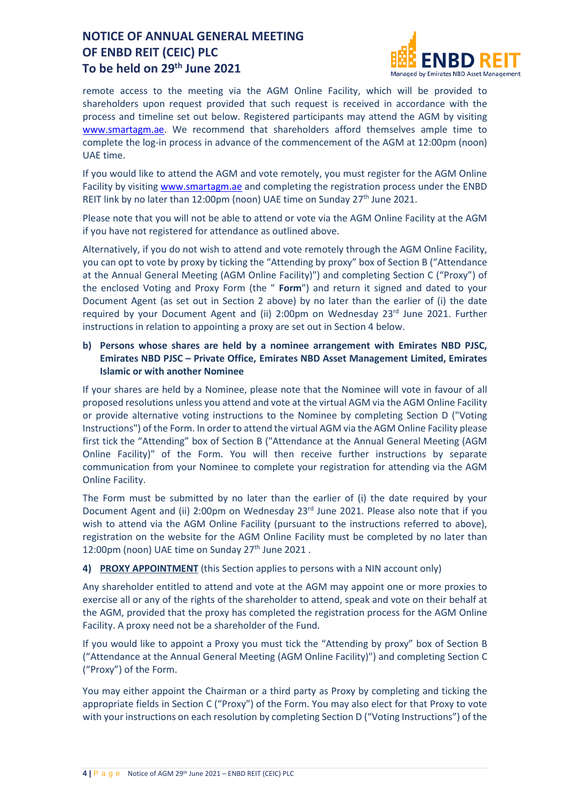

remote access to the meeting via the AGM Online Facility, which will be provided to shareholders upon request provided that such request is received in accordance with the process and timeline set out below. Registered participants may attend the AGM by visiting [www.smartagm.ae.](http://www.smartagm.ae/) We recommend that shareholders afford themselves ample time to complete the log-in process in advance of the commencement of the AGM at 12:00pm (noon) UAE time.

If you would like to attend the AGM and vote remotely, you must register for the AGM Online Facility by visiting [www.smartagm.ae](http://www.smartagm.ae/) and completing the registration process under the ENBD REIT link by no later than 12:00pm (noon) UAE time on Sunday  $27<sup>th</sup>$  June 2021.

Please note that you will not be able to attend or vote via the AGM Online Facility at the AGM if you have not registered for attendance as outlined above.

Alternatively, if you do not wish to attend and vote remotely through the AGM Online Facility, you can opt to vote by proxy by ticking the "Attending by proxy" box of Section B ("Attendance at the Annual General Meeting (AGM Online Facility)") and completing Section C ("Proxy") of the enclosed Voting and Proxy Form (the " **Form**") and return it signed and dated to your Document Agent (as set out in Section 2 above) by no later than the earlier of (i) the date required by your Document Agent and (ii) 2:00pm on Wednesday  $23<sup>rd</sup>$  June 2021. Further instructions in relation to appointing a proxy are set out in Section 4 below.

### **b) Persons whose shares are held by a nominee arrangement with Emirates NBD PJSC, Emirates NBD PJSC – Private Office, Emirates NBD Asset Management Limited, Emirates Islamic or with another Nominee**

If your shares are held by a Nominee, please note that the Nominee will vote in favour of all proposed resolutions unless you attend and vote at the virtual AGM via the AGM Online Facility or provide alternative voting instructions to the Nominee by completing Section D ("Voting Instructions") of the Form. In order to attend the virtual AGM via the AGM Online Facility please first tick the "Attending" box of Section B ("Attendance at the Annual General Meeting (AGM Online Facility)" of the Form. You will then receive further instructions by separate communication from your Nominee to complete your registration for attending via the AGM Online Facility.

The Form must be submitted by no later than the earlier of (i) the date required by your Document Agent and (ii) 2:00pm on Wednesday 23rd June 2021. Please also note that if you wish to attend via the AGM Online Facility (pursuant to the instructions referred to above), registration on the website for the AGM Online Facility must be completed by no later than 12:00pm (noon) UAE time on Sunday 27<sup>th</sup> June 2021.

### **4) PROXY APPOINTMENT** (this Section applies to persons with a NIN account only)

Any shareholder entitled to attend and vote at the AGM may appoint one or more proxies to exercise all or any of the rights of the shareholder to attend, speak and vote on their behalf at the AGM, provided that the proxy has completed the registration process for the AGM Online Facility. A proxy need not be a shareholder of the Fund.

If you would like to appoint a Proxy you must tick the "Attending by proxy" box of Section B ("Attendance at the Annual General Meeting (AGM Online Facility)") and completing Section C ("Proxy") of the Form.

You may either appoint the Chairman or a third party as Proxy by completing and ticking the appropriate fields in Section C ("Proxy") of the Form. You may also elect for that Proxy to vote with your instructions on each resolution by completing Section D ("Voting Instructions") of the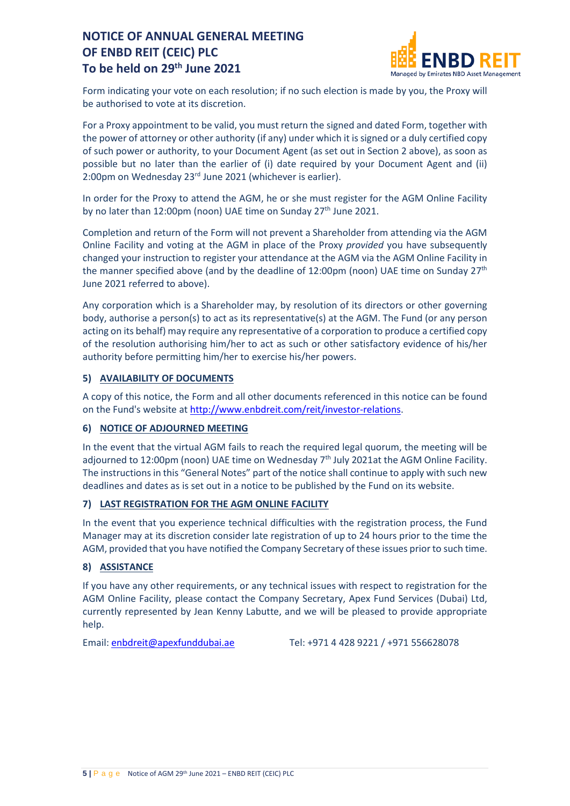

Form indicating your vote on each resolution; if no such election is made by you, the Proxy will be authorised to vote at its discretion.

For a Proxy appointment to be valid, you must return the signed and dated Form, together with the power of attorney or other authority (if any) under which it issigned or a duly certified copy of such power or authority, to your Document Agent (as set out in Section 2 above), as soon as possible but no later than the earlier of (i) date required by your Document Agent and (ii) 2:00pm on Wednesday 23rd June 2021 (whichever is earlier).

In order for the Proxy to attend the AGM, he or she must register for the AGM Online Facility by no later than 12:00pm (noon) UAE time on Sunday 27<sup>th</sup> June 2021.

Completion and return of the Form will not prevent a Shareholder from attending via the AGM Online Facility and voting at the AGM in place of the Proxy *provided* you have subsequently changed your instruction to register your attendance at the AGM via the AGM Online Facility in the manner specified above (and by the deadline of 12:00pm (noon) UAE time on Sunday  $27<sup>th</sup>$ June 2021 referred to above).

Any corporation which is a Shareholder may, by resolution of its directors or other governing body, authorise a person(s) to act as its representative(s) at the AGM. The Fund (or any person acting on its behalf) may require any representative of a corporation to produce a certified copy of the resolution authorising him/her to act as such or other satisfactory evidence of his/her authority before permitting him/her to exercise his/her powers.

### **5) AVAILABILITY OF DOCUMENTS**

A copy of this notice, the Form and all other documents referenced in this notice can be found on the Fund's website a[t http://www.enbdreit.com/reit/investor-relations.](http://www.enbdreit.com/reit/investor-relations)

### **6) NOTICE OF ADJOURNED MEETING**

In the event that the virtual AGM fails to reach the required legal quorum, the meeting will be adjourned to 12:00pm (noon) UAE time on Wednesday  $7<sup>th</sup>$  July 2021at the AGM Online Facility. The instructions in this "General Notes" part of the notice shall continue to apply with such new deadlines and dates as is set out in a notice to be published by the Fund on its website.

### **7) LAST REGISTRATION FOR THE AGM ONLINE FACILITY**

In the event that you experience technical difficulties with the registration process, the Fund Manager may at its discretion consider late registration of up to 24 hours prior to the time the AGM, provided that you have notified the Company Secretary of these issues prior to such time.

### **8) ASSISTANCE**

If you have any other requirements, or any technical issues with respect to registration for the AGM Online Facility, please contact the Company Secretary, Apex Fund Services (Dubai) Ltd, currently represented by Jean Kenny Labutte, and we will be pleased to provide appropriate help.

Email: [enbdreit@apexfunddubai.ae](mailto:enbdreit@apexfunddubai.ae) Tel: +971 4 428 9221 / +971 556628078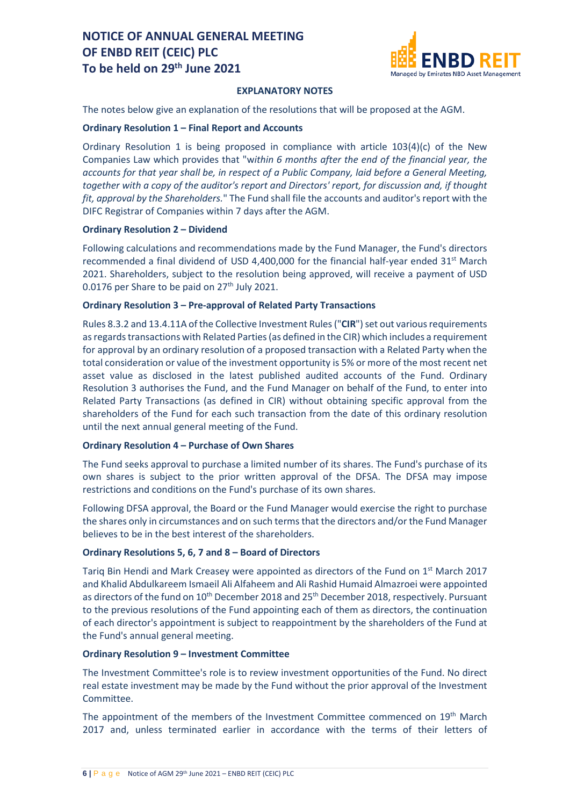

### **EXPLANATORY NOTES**

The notes below give an explanation of the resolutions that will be proposed at the AGM.

#### **Ordinary Resolution 1 – Final Report and Accounts**

Ordinary Resolution 1 is being proposed in compliance with article  $103(4)(c)$  of the New Companies Law which provides that "w*ithin 6 months after the end of the financial year, the accounts for that year shall be, in respect of a Public Company, laid before a General Meeting, together with a copy of the auditor's report and Directors' report, for discussion and, if thought fit, approval by the Shareholders.*" The Fund shall file the accounts and auditor's report with the DIFC Registrar of Companies within 7 days after the AGM.

### **Ordinary Resolution 2 – Dividend**

Following calculations and recommendations made by the Fund Manager, the Fund's directors recommended a final dividend of USD 4,400,000 for the financial half-year ended  $31<sup>st</sup>$  March 2021. Shareholders, subject to the resolution being approved, will receive a payment of USD 0.0176 per Share to be paid on 27<sup>th</sup> July 2021.

### **Ordinary Resolution 3 – Pre-approval of Related Party Transactions**

Rules 8.3.2 and 13.4.11A of the Collective Investment Rules ("**CIR**") set out various requirements as regards transactions with Related Parties (as defined in the CIR) which includes a requirement for approval by an ordinary resolution of a proposed transaction with a Related Party when the total consideration or value of the investment opportunity is 5% or more of the most recent net asset value as disclosed in the latest published audited accounts of the Fund. Ordinary Resolution 3 authorises the Fund, and the Fund Manager on behalf of the Fund, to enter into Related Party Transactions (as defined in CIR) without obtaining specific approval from the shareholders of the Fund for each such transaction from the date of this ordinary resolution until the next annual general meeting of the Fund.

### **Ordinary Resolution 4 – Purchase of Own Shares**

The Fund seeks approval to purchase a limited number of its shares. The Fund's purchase of its own shares is subject to the prior written approval of the DFSA. The DFSA may impose restrictions and conditions on the Fund's purchase of its own shares.

Following DFSA approval, the Board or the Fund Manager would exercise the right to purchase the shares only in circumstances and on such terms that the directors and/or the Fund Manager believes to be in the best interest of the shareholders.

### **Ordinary Resolutions 5, 6, 7 and 8 – Board of Directors**

Tariq Bin Hendi and Mark Creasey were appointed as directors of the Fund on  $1<sup>st</sup>$  March 2017 and Khalid Abdulkareem Ismaeil Ali Alfaheem and Ali Rashid Humaid Almazroei were appointed as directors of the fund on 10<sup>th</sup> December 2018 and 25<sup>th</sup> December 2018, respectively. Pursuant to the previous resolutions of the Fund appointing each of them as directors, the continuation of each director's appointment is subject to reappointment by the shareholders of the Fund at the Fund's annual general meeting.

### **Ordinary Resolution 9 – Investment Committee**

The Investment Committee's role is to review investment opportunities of the Fund. No direct real estate investment may be made by the Fund without the prior approval of the Investment Committee.

The appointment of the members of the Investment Committee commenced on 19<sup>th</sup> March 2017 and, unless terminated earlier in accordance with the terms of their letters of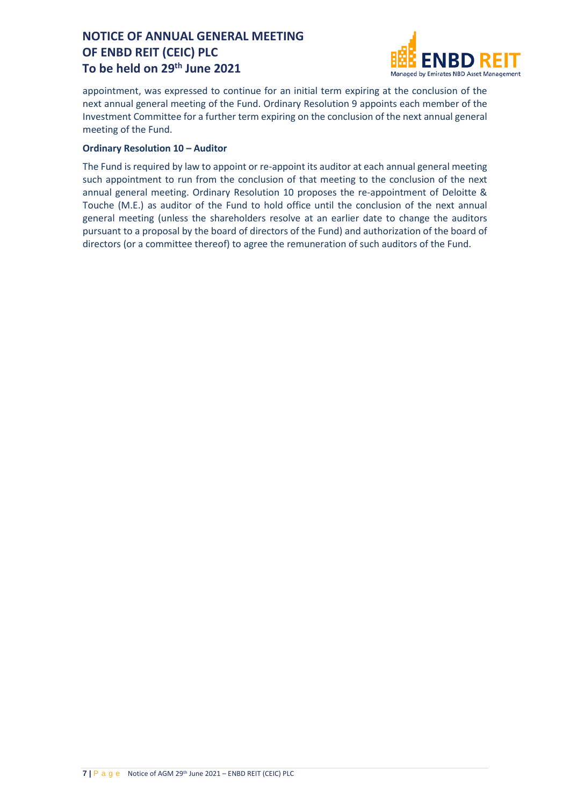

appointment, was expressed to continue for an initial term expiring at the conclusion of the next annual general meeting of the Fund. Ordinary Resolution 9 appoints each member of the Investment Committee for a further term expiring on the conclusion of the next annual general meeting of the Fund.

### **Ordinary Resolution 10 – Auditor**

The Fund is required by law to appoint or re-appoint its auditor at each annual general meeting such appointment to run from the conclusion of that meeting to the conclusion of the next annual general meeting. Ordinary Resolution 10 proposes the re-appointment of Deloitte & Touche (M.E.) as auditor of the Fund to hold office until the conclusion of the next annual general meeting (unless the shareholders resolve at an earlier date to change the auditors pursuant to a proposal by the board of directors of the Fund) and authorization of the board of directors (or a committee thereof) to agree the remuneration of such auditors of the Fund.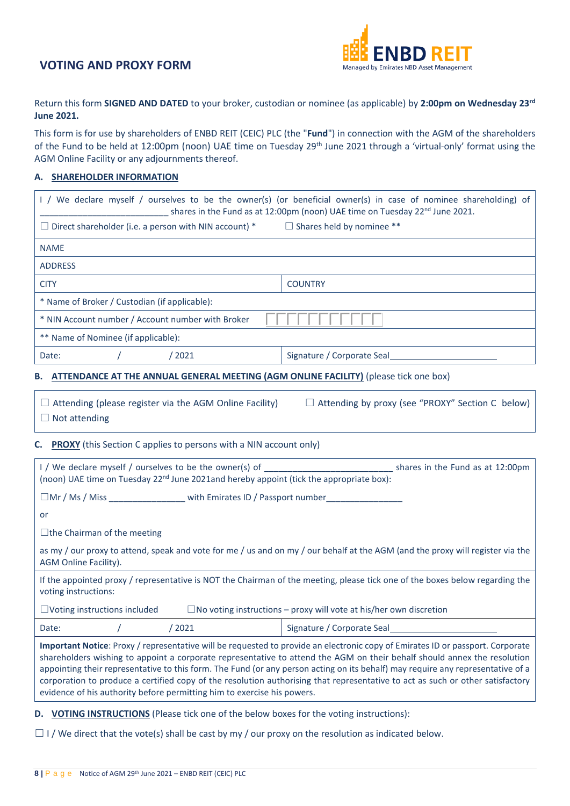

Return this form **SIGNED AND DATED** to your broker, custodian or nominee (as applicable) by **2:00pm on Wednesday 23rd June 2021.**

This form is for use by shareholders of ENBD REIT (CEIC) PLC (the "**Fund**") in connection with the AGM of the shareholders of the Fund to be held at 12:00pm (noon) UAE time on Tuesday 29<sup>th</sup> June 2021 through a 'virtual-only' format using the AGM Online Facility or any adjournments thereof.

#### **A. SHAREHOLDER INFORMATION**

| I / We declare myself / ourselves to be the owner(s) (or beneficial owner(s) in case of nominee shareholding) of<br>shares in the Fund as at 12:00pm (noon) UAE time on Tuesday 22 <sup>nd</sup> June 2021.                                                                                                                                                                                                                                                                                                                                                                                                |                            |  |  |  |  |
|------------------------------------------------------------------------------------------------------------------------------------------------------------------------------------------------------------------------------------------------------------------------------------------------------------------------------------------------------------------------------------------------------------------------------------------------------------------------------------------------------------------------------------------------------------------------------------------------------------|----------------------------|--|--|--|--|
| $\Box$ Shares held by nominee **<br>$\Box$ Direct shareholder (i.e. a person with NIN account) $^*$                                                                                                                                                                                                                                                                                                                                                                                                                                                                                                        |                            |  |  |  |  |
| <b>NAME</b>                                                                                                                                                                                                                                                                                                                                                                                                                                                                                                                                                                                                |                            |  |  |  |  |
| <b>ADDRESS</b>                                                                                                                                                                                                                                                                                                                                                                                                                                                                                                                                                                                             |                            |  |  |  |  |
| <b>CITY</b>                                                                                                                                                                                                                                                                                                                                                                                                                                                                                                                                                                                                | <b>COUNTRY</b>             |  |  |  |  |
| * Name of Broker / Custodian (if applicable):                                                                                                                                                                                                                                                                                                                                                                                                                                                                                                                                                              |                            |  |  |  |  |
| * NIN Account number / Account number with Broker                                                                                                                                                                                                                                                                                                                                                                                                                                                                                                                                                          |                            |  |  |  |  |
| ** Name of Nominee (if applicable):                                                                                                                                                                                                                                                                                                                                                                                                                                                                                                                                                                        |                            |  |  |  |  |
| Date:<br>/2021                                                                                                                                                                                                                                                                                                                                                                                                                                                                                                                                                                                             | Signature / Corporate Seal |  |  |  |  |
| ATTENDANCE AT THE ANNUAL GENERAL MEETING (AGM ONLINE FACILITY) (please tick one box)<br>В.                                                                                                                                                                                                                                                                                                                                                                                                                                                                                                                 |                            |  |  |  |  |
| $\Box$ Attending by proxy (see "PROXY" Section C below)<br>$\Box$ Attending (please register via the AGM Online Facility)<br>$\Box$ Not attending                                                                                                                                                                                                                                                                                                                                                                                                                                                          |                            |  |  |  |  |
| <b>PROXY</b> (this Section C applies to persons with a NIN account only)<br>C.                                                                                                                                                                                                                                                                                                                                                                                                                                                                                                                             |                            |  |  |  |  |
| I / We declare myself / ourselves to be the owner(s) of shares in the Fund as at 12:00pm<br>(noon) UAE time on Tuesday 22 <sup>nd</sup> June 2021and hereby appoint (tick the appropriate box):                                                                                                                                                                                                                                                                                                                                                                                                            |                            |  |  |  |  |
| □Mr / Ms / Miss __________________ with Emirates ID / Passport number__________________                                                                                                                                                                                                                                                                                                                                                                                                                                                                                                                    |                            |  |  |  |  |
| or                                                                                                                                                                                                                                                                                                                                                                                                                                                                                                                                                                                                         |                            |  |  |  |  |
| $\Box$ the Chairman of the meeting                                                                                                                                                                                                                                                                                                                                                                                                                                                                                                                                                                         |                            |  |  |  |  |
| as my / our proxy to attend, speak and vote for me / us and on my / our behalf at the AGM (and the proxy will register via the<br>AGM Online Facility).                                                                                                                                                                                                                                                                                                                                                                                                                                                    |                            |  |  |  |  |
| If the appointed proxy / representative is NOT the Chairman of the meeting, please tick one of the boxes below regarding the<br>voting instructions:                                                                                                                                                                                                                                                                                                                                                                                                                                                       |                            |  |  |  |  |
| $\Box$ No voting instructions – proxy will vote at his/her own discretion<br>$\Box$ Voting instructions included                                                                                                                                                                                                                                                                                                                                                                                                                                                                                           |                            |  |  |  |  |
| /2021<br>Date:                                                                                                                                                                                                                                                                                                                                                                                                                                                                                                                                                                                             | Signature / Corporate Seal |  |  |  |  |
| Important Notice: Proxy / representative will be requested to provide an electronic copy of Emirates ID or passport. Corporate<br>shareholders wishing to appoint a corporate representative to attend the AGM on their behalf should annex the resolution<br>appointing their representative to this form. The Fund (or any person acting on its behalf) may require any representative of a<br>corporation to produce a certified copy of the resolution authorising that representative to act as such or other satisfactory<br>evidence of his authority before permitting him to exercise his powers. |                            |  |  |  |  |

**D. VOTING INSTRUCTIONS** (Please tick one of the below boxes for the voting instructions):

 $\Box$  I / We direct that the vote(s) shall be cast by my / our proxy on the resolution as indicated below.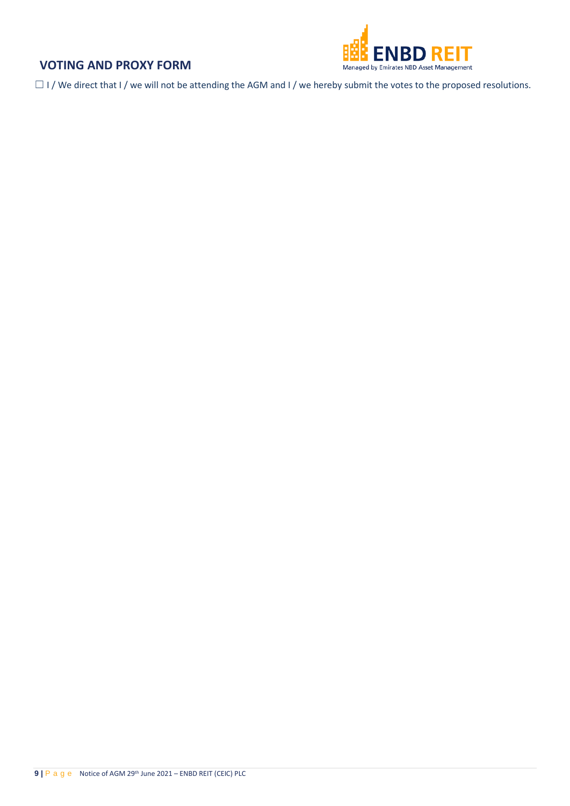

 $\Box$  I / We direct that I / we will not be attending the AGM and I / we hereby submit the votes to the proposed resolutions.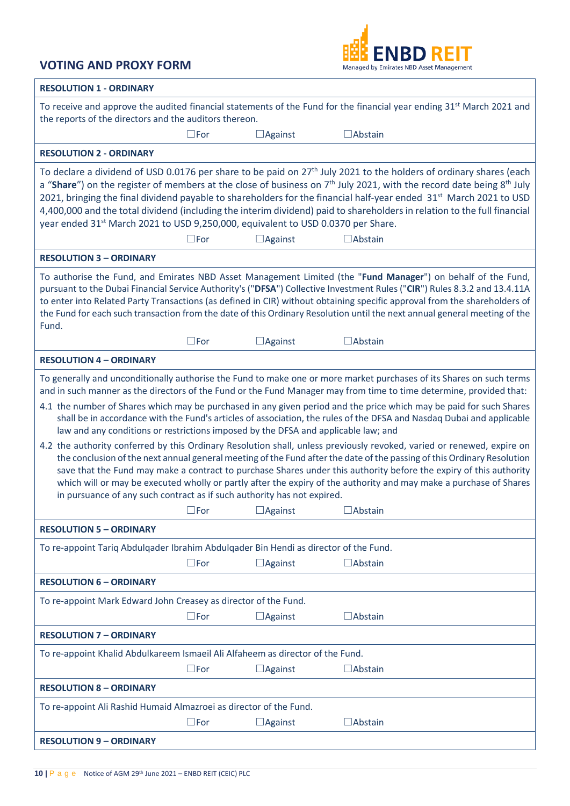

| <b>RESOLUTION 1 - ORDINARY</b>                                                                                                                                                                                                                                                                                                                                                                                                                                                                                                                                                                                                                                                                                                                                                                                                                                                                                                                                                                                                                                                                                                                                |  |  |  |  |  |
|---------------------------------------------------------------------------------------------------------------------------------------------------------------------------------------------------------------------------------------------------------------------------------------------------------------------------------------------------------------------------------------------------------------------------------------------------------------------------------------------------------------------------------------------------------------------------------------------------------------------------------------------------------------------------------------------------------------------------------------------------------------------------------------------------------------------------------------------------------------------------------------------------------------------------------------------------------------------------------------------------------------------------------------------------------------------------------------------------------------------------------------------------------------|--|--|--|--|--|
| To receive and approve the audited financial statements of the Fund for the financial year ending 31 <sup>st</sup> March 2021 and<br>the reports of the directors and the auditors thereon.                                                                                                                                                                                                                                                                                                                                                                                                                                                                                                                                                                                                                                                                                                                                                                                                                                                                                                                                                                   |  |  |  |  |  |
| $\square$ For<br>$\Box$ Against<br>$\Box$ Abstain                                                                                                                                                                                                                                                                                                                                                                                                                                                                                                                                                                                                                                                                                                                                                                                                                                                                                                                                                                                                                                                                                                             |  |  |  |  |  |
| <b>RESOLUTION 2 - ORDINARY</b>                                                                                                                                                                                                                                                                                                                                                                                                                                                                                                                                                                                                                                                                                                                                                                                                                                                                                                                                                                                                                                                                                                                                |  |  |  |  |  |
| To declare a dividend of USD 0.0176 per share to be paid on $27th$ July 2021 to the holders of ordinary shares (each<br>a "Share") on the register of members at the close of business on $7th$ July 2021, with the record date being $8th$ July<br>2021, bringing the final dividend payable to shareholders for the financial half-year ended 31 <sup>st</sup> March 2021 to USD<br>4,400,000 and the total dividend (including the interim dividend) paid to shareholders in relation to the full financial<br>year ended 31 <sup>st</sup> March 2021 to USD 9,250,000, equivalent to USD 0.0370 per Share.<br>$\square$ For<br>$\Box$ Against<br>$\Box$ Abstain                                                                                                                                                                                                                                                                                                                                                                                                                                                                                           |  |  |  |  |  |
| <b>RESOLUTION 3 - ORDINARY</b>                                                                                                                                                                                                                                                                                                                                                                                                                                                                                                                                                                                                                                                                                                                                                                                                                                                                                                                                                                                                                                                                                                                                |  |  |  |  |  |
| To authorise the Fund, and Emirates NBD Asset Management Limited (the "Fund Manager") on behalf of the Fund,<br>pursuant to the Dubai Financial Service Authority's ("DFSA") Collective Investment Rules ("CIR") Rules 8.3.2 and 13.4.11A<br>to enter into Related Party Transactions (as defined in CIR) without obtaining specific approval from the shareholders of<br>the Fund for each such transaction from the date of this Ordinary Resolution until the next annual general meeting of the<br>Fund.                                                                                                                                                                                                                                                                                                                                                                                                                                                                                                                                                                                                                                                  |  |  |  |  |  |
| $\square$ For<br>$\Box$ Against<br>$\Box$ Abstain                                                                                                                                                                                                                                                                                                                                                                                                                                                                                                                                                                                                                                                                                                                                                                                                                                                                                                                                                                                                                                                                                                             |  |  |  |  |  |
| <b>RESOLUTION 4 - ORDINARY</b>                                                                                                                                                                                                                                                                                                                                                                                                                                                                                                                                                                                                                                                                                                                                                                                                                                                                                                                                                                                                                                                                                                                                |  |  |  |  |  |
| To generally and unconditionally authorise the Fund to make one or more market purchases of its Shares on such terms<br>and in such manner as the directors of the Fund or the Fund Manager may from time to time determine, provided that:<br>4.1 the number of Shares which may be purchased in any given period and the price which may be paid for such Shares<br>shall be in accordance with the Fund's articles of association, the rules of the DFSA and Nasdaq Dubai and applicable<br>law and any conditions or restrictions imposed by the DFSA and applicable law; and<br>4.2 the authority conferred by this Ordinary Resolution shall, unless previously revoked, varied or renewed, expire on<br>the conclusion of the next annual general meeting of the Fund after the date of the passing of this Ordinary Resolution<br>save that the Fund may make a contract to purchase Shares under this authority before the expiry of this authority<br>which will or may be executed wholly or partly after the expiry of the authority and may make a purchase of Shares<br>in pursuance of any such contract as if such authority has not expired. |  |  |  |  |  |
|                                                                                                                                                                                                                                                                                                                                                                                                                                                                                                                                                                                                                                                                                                                                                                                                                                                                                                                                                                                                                                                                                                                                                               |  |  |  |  |  |
| <b>RESOLUTION 5 - ORDINARY</b>                                                                                                                                                                                                                                                                                                                                                                                                                                                                                                                                                                                                                                                                                                                                                                                                                                                                                                                                                                                                                                                                                                                                |  |  |  |  |  |
| To re-appoint Tariq Abdulqader Ibrahim Abdulqader Bin Hendi as director of the Fund.                                                                                                                                                                                                                                                                                                                                                                                                                                                                                                                                                                                                                                                                                                                                                                                                                                                                                                                                                                                                                                                                          |  |  |  |  |  |
| $\square$ For<br>$\Box$ Against<br>$\Box$ Abstain                                                                                                                                                                                                                                                                                                                                                                                                                                                                                                                                                                                                                                                                                                                                                                                                                                                                                                                                                                                                                                                                                                             |  |  |  |  |  |
| <b>RESOLUTION 6 - ORDINARY</b>                                                                                                                                                                                                                                                                                                                                                                                                                                                                                                                                                                                                                                                                                                                                                                                                                                                                                                                                                                                                                                                                                                                                |  |  |  |  |  |
| To re-appoint Mark Edward John Creasey as director of the Fund.                                                                                                                                                                                                                                                                                                                                                                                                                                                                                                                                                                                                                                                                                                                                                                                                                                                                                                                                                                                                                                                                                               |  |  |  |  |  |
| $\square$ For<br>$\Box$ Abstain<br>$\Box$ Against                                                                                                                                                                                                                                                                                                                                                                                                                                                                                                                                                                                                                                                                                                                                                                                                                                                                                                                                                                                                                                                                                                             |  |  |  |  |  |
| <b>RESOLUTION 7 - ORDINARY</b>                                                                                                                                                                                                                                                                                                                                                                                                                                                                                                                                                                                                                                                                                                                                                                                                                                                                                                                                                                                                                                                                                                                                |  |  |  |  |  |
| To re-appoint Khalid Abdulkareem Ismaeil Ali Alfaheem as director of the Fund.                                                                                                                                                                                                                                                                                                                                                                                                                                                                                                                                                                                                                                                                                                                                                                                                                                                                                                                                                                                                                                                                                |  |  |  |  |  |
| $\square$ For<br>$\Box$ Abstain<br>$\Box$ Against                                                                                                                                                                                                                                                                                                                                                                                                                                                                                                                                                                                                                                                                                                                                                                                                                                                                                                                                                                                                                                                                                                             |  |  |  |  |  |
| <b>RESOLUTION 8 - ORDINARY</b>                                                                                                                                                                                                                                                                                                                                                                                                                                                                                                                                                                                                                                                                                                                                                                                                                                                                                                                                                                                                                                                                                                                                |  |  |  |  |  |
| To re-appoint Ali Rashid Humaid Almazroei as director of the Fund.                                                                                                                                                                                                                                                                                                                                                                                                                                                                                                                                                                                                                                                                                                                                                                                                                                                                                                                                                                                                                                                                                            |  |  |  |  |  |
| $\square$ For<br>$\Box$ Abstain<br>$\Box$ Against                                                                                                                                                                                                                                                                                                                                                                                                                                                                                                                                                                                                                                                                                                                                                                                                                                                                                                                                                                                                                                                                                                             |  |  |  |  |  |
| <b>RESOLUTION 9 - ORDINARY</b>                                                                                                                                                                                                                                                                                                                                                                                                                                                                                                                                                                                                                                                                                                                                                                                                                                                                                                                                                                                                                                                                                                                                |  |  |  |  |  |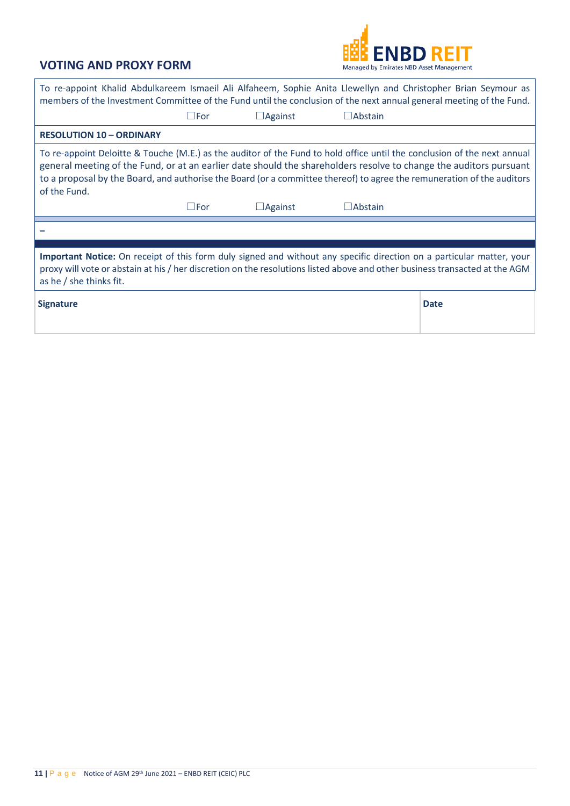

| To re-appoint Khalid Abdulkareem Ismaeil Ali Alfaheem, Sophie Anita Llewellyn and Christopher Brian Seymour as<br>members of the Investment Committee of the Fund until the conclusion of the next annual general meeting of the Fund.                                                                                                                                                   |               |                |                |             |  |  |  |
|------------------------------------------------------------------------------------------------------------------------------------------------------------------------------------------------------------------------------------------------------------------------------------------------------------------------------------------------------------------------------------------|---------------|----------------|----------------|-------------|--|--|--|
|                                                                                                                                                                                                                                                                                                                                                                                          | $\square$ For | $\Box$ Against | $\Box$ Abstain |             |  |  |  |
| <b>RESOLUTION 10 - ORDINARY</b>                                                                                                                                                                                                                                                                                                                                                          |               |                |                |             |  |  |  |
| To re-appoint Deloitte & Touche (M.E.) as the auditor of the Fund to hold office until the conclusion of the next annual<br>general meeting of the Fund, or at an earlier date should the shareholders resolve to change the auditors pursuant<br>to a proposal by the Board, and authorise the Board (or a committee thereof) to agree the remuneration of the auditors<br>of the Fund. |               |                |                |             |  |  |  |
|                                                                                                                                                                                                                                                                                                                                                                                          | $\square$ For | $\Box$ Against | $\Box$ Abstain |             |  |  |  |
|                                                                                                                                                                                                                                                                                                                                                                                          |               |                |                |             |  |  |  |
|                                                                                                                                                                                                                                                                                                                                                                                          |               |                |                |             |  |  |  |
| Important Notice: On receipt of this form duly signed and without any specific direction on a particular matter, your<br>proxy will vote or abstain at his / her discretion on the resolutions listed above and other business transacted at the AGM<br>as he / she thinks fit.                                                                                                          |               |                |                |             |  |  |  |
| <b>Signature</b>                                                                                                                                                                                                                                                                                                                                                                         |               |                |                | <b>Date</b> |  |  |  |